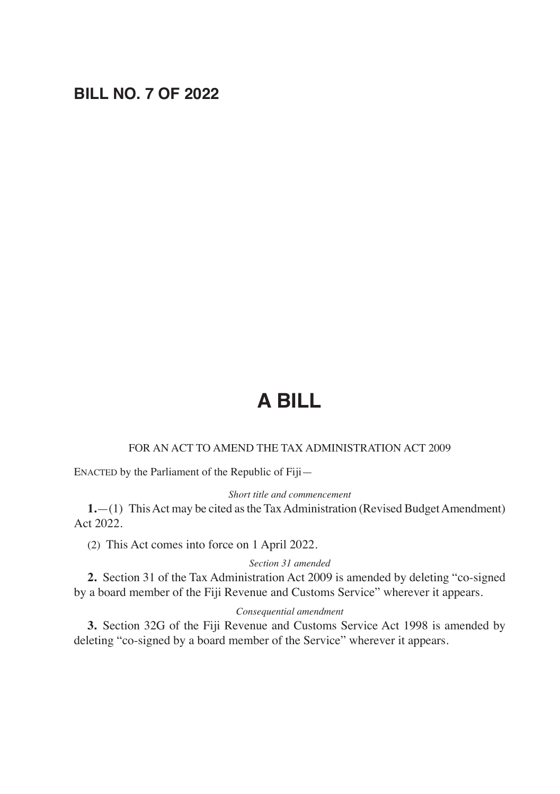# **BILL NO. 7 OF 2022**

# **A BILL**

#### FOR AN ACT TO AMEND THE TAX ADMINISTRATION ACT 2009

ENACTED by the Parliament of the Republic of Fiji—

#### *Short title and commencement*

**1.**—(1) This Act may be cited as the Tax Administration (Revised Budget Amendment) Act 2022.

(2) This Act comes into force on 1 April 2022.

#### *Section 31 amended*

**2.** Section 31 of the Tax Administration Act 2009 is amended by deleting "co-signed by a board member of the Fiji Revenue and Customs Service" wherever it appears.

#### *Consequential amendment*

**3.** Section 32G of the Fiji Revenue and Customs Service Act 1998 is amended by deleting "co-signed by a board member of the Service" wherever it appears.